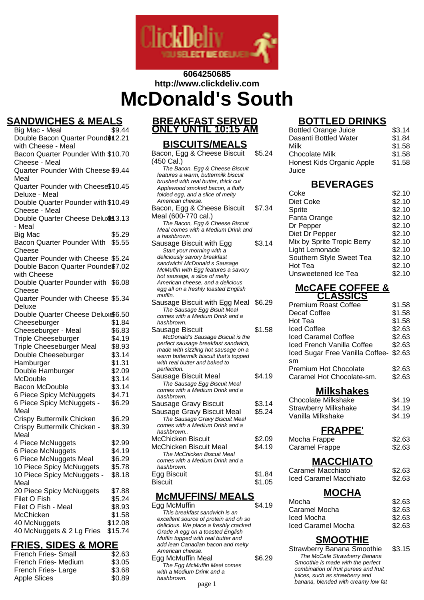

# **6064250685 http://www.clickdeliv.com**

# **McDonald's South**

# **SANDWICHES & MEALS**<br>Big Mac - Meal<br>\$9.44

Big Mac - Meal Double Bacon Quarter Pound \$12.21 with Cheese - Meal Bacon Quarter Pounder With \$10.70 Cheese - Meal Quarter Pounder With Cheese \$9.44 Meal Quarter Pounder with Cheese \$10.45 Deluxe - Meal Double Quarter Pounder with \$10.49 Cheese - Meal Double Quarter Cheese Deluxe 3.13 - Meal Big Mac  $$5.29$ Bacon Quarter Pounder With \$5.55 Cheese Quarter Pounder with Cheese \$5.24 Double Bacon Quarter Pounde\$7.02 with Cheese Double Quarter Pounder with \$6.08 Cheese Quarter Pounder with Cheese \$5.34 Deluxe Double Quarter Cheese Deluxe6.50 Cheeseburger \$1.84 Cheeseburger - Meal \$6.83 Triple Cheeseburger \$4.19 Triple Cheeseburger Meal \$8.93 Double Cheeseburger \$3.14 Hamburger \$1.31 Double Hamburger \$2.09 McDouble \$3.14 Bacon McDouble  $$3.14$ 6 Piece Spicy McNuggets \$4.71 6 Piece Spicy McNuggets - Meal \$6.29 Crispy Buttermilk Chicken \$6.29 Crispy Buttermilk Chicken - Meal \$8.39 4 Piece McNuggets \$2.99 6 Piece McNuggets \$4.19 6 Piece McNuggets Meal \$6.29 10 Piece Spicy McNuggets \$5.78 10 Piece Spicy McNuggets - Meal \$8.18 20 Piece Spicy McNuggets \$7.88 Filet O Fish \$5.24<br>Filet O Fish - Meal \$8.93 Filet O Fish - Meal McChicken \$1.58 40 McNuggets \$12.08 40 McNuggets & 2 Lg Fries \$15.74

# **FRIES, SIDES & MORE**

| <b>French Fries- Small</b> | \$2.63 |
|----------------------------|--------|
| French Fries- Medium       | \$3.05 |
| French Fries-Large         | \$3.68 |
| <b>Apple Slices</b>        | \$0.89 |
|                            |        |

# **BREAKFAST SERVED ONLY UNTIL 10:15 AM**

# **BISCUITS/MEALS**

| Bacon, Egg & Cheese Biscuit                                          | \$5.24 |
|----------------------------------------------------------------------|--------|
| (450 Cal.)                                                           |        |
| The Bacon, Egg & Cheese Biscuit                                      |        |
| features a warm, buttermilk biscuit                                  |        |
| brushed with real butter, thick cut                                  |        |
| Applewood smoked bacon, a fluffy<br>folded egg, and a slice of melty |        |
| American cheese.                                                     |        |
|                                                                      | \$7.34 |
| Bacon, Egg & Cheese Biscuit                                          |        |
| Meal (600-770 cal.)                                                  |        |
| The Bacon, Egg & Cheese Biscuit                                      |        |
| Meal comes with a Medium Drink and                                   |        |
| a hashbrown.                                                         |        |
| Sausage Biscuit with Egg                                             | \$3.14 |
| Start your morning with a                                            |        |
| deliciously savory breakfast                                         |        |
| sandwich! McDonald s Sausage                                         |        |
| McMuffin with Egg features a savory<br>hot sausage, a slice of melty |        |
| American cheese, and a delicious                                     |        |
| egg all on a freshly toasted English                                 |        |
| muffin.                                                              |        |
| Sausage Biscuit with Egg Meal                                        | \$6.29 |
| The Sausage Egg Bisuit Meal                                          |        |
| comes with a Medium Drink and a                                      |        |
| hashbrown.                                                           |        |
| Sausage Biscuit                                                      | \$1.58 |
| McDonald's Sausage Biscuit is the                                    |        |
| perfect sausage breakfast sandwich,                                  |        |
| made with sizzling hot sausage on a                                  |        |
| warm buttermilk biscuit that's topped                                |        |
| with real butter and baked to                                        |        |
| perfection.                                                          |        |
| Sausage Biscuit Meal                                                 | \$4.19 |
| The Sausage Egg Biscuit Meal                                         |        |
| comes with a Medium Drink and a                                      |        |
| hashbrown.                                                           |        |
| Sausage Gravy Biscuit                                                | \$3.14 |
| Sausage Gravy Biscuit Meal                                           | \$5.24 |
| The Sausage Gravy Biscuit Meal                                       |        |
| comes with a Medium Drink and a                                      |        |
| hashbrown                                                            |        |
| McChicken Biscuit                                                    | \$2.09 |
| McChicken Biscuit Meal                                               | \$4.19 |
| The McChicken Biscuit Meal                                           |        |
| comes with a Medium Drink and a                                      |        |
| hashbrown.                                                           |        |
| Egg Biscuit                                                          | \$1.84 |
| Biscuit                                                              | \$1.05 |
|                                                                      |        |

# **McMUFFINS/ MEALS**

Egg McMuffin 54.19 This breakfast sandwich is an excellent source of protein and oh so delicious. We place a freshly cracked Grade A egg on a toasted English Muffin topped with real butter and add lean Canadian bacon and melty American cheese. Egg McMuffin Meal \$6.29 The Egg McMuffin Meal comes with a Medium Drink and a hashbrown. page 1 banana, blended with creamy low fat

# **BOTTLED** DRINKS

| <u>ט וואווער כ</u>                |        |
|-----------------------------------|--------|
| <b>Bottled Orange Juice</b>       | \$3.14 |
| Dasanti Bottled Water             | \$1.84 |
| Milk                              | \$1.58 |
| <b>Chocolate Milk</b>             | \$1.58 |
| <b>Honest Kids Organic Apple</b>  | \$1.58 |
| Juice                             |        |
| <b>BEVERAGES</b>                  |        |
| Coke                              | \$2.10 |
| Diet Coke                         | \$2.10 |
| Sprite                            | \$2.10 |
|                                   |        |
| Fanta Orange                      | \$2.10 |
| Dr Pepper                         | \$2.10 |
| Diet Dr Pepper                    | \$2.10 |
| Mix by Sprite Tropic Berry        | \$2.10 |
| Light Lemonade                    | \$2.10 |
| Southern Style Sweet Tea          | \$2.10 |
| Hot Tea                           | \$2.10 |
| Unsweetened Ice Tea               | \$2.10 |
| <b>MCCAFE COFFEE &amp;</b>        |        |
| <b>CLASSICS</b>                   |        |
| <b>Premium Roast Coffee</b>       | \$1.58 |
| Decaf Coffee                      | \$1.58 |
| Hot Tea                           | \$1.58 |
| <b>Iced Coffee</b>                | \$2.63 |
| <b>Iced Caramel Coffee</b>        | \$2.63 |
| Iced French Vanilla Coffee        | \$2.63 |
| Iced Sugar Free Vanilla Coffee-   | \$2.63 |
| sm                                |        |
| <b>Premium Hot Chocolate</b>      | \$2.63 |
| Caramel Hot Chocolate-sm.         | \$2.63 |
| Milkshakes                        |        |
| <b>Chocolate Milkshake</b>        | \$4.19 |
| <b>Strawberry Milkshake</b>       | \$4.19 |
| Vanilla Milkshake                 | \$4.19 |
|                                   |        |
| <b>FRAPPE'</b>                    |        |
| Mocha Frappe                      | \$2.63 |
| <b>Caramel Frappe</b>             | \$2.63 |
| <b>MACCHIATO</b>                  |        |
| Caramel Macchiato                 | \$2.63 |
| Iced Caramel Macchiato            | \$2.63 |
|                                   |        |
| <b>MOCHA</b>                      |        |
| Mocha                             | \$2.63 |
| Caramel Mocha                     | \$2.63 |
| Iced Mocha                        | \$2.63 |
| Iced Caramel Mocha                | \$2.63 |
| <b>SMOOTHIE</b>                   |        |
| <b>Strawberry Banana Smoothie</b> | \$3.15 |
| The McCafe Strawberry Banana      |        |
| Smoothie is made with the perfect |        |

combination of fruit purees and fruit juices, such as strawberry and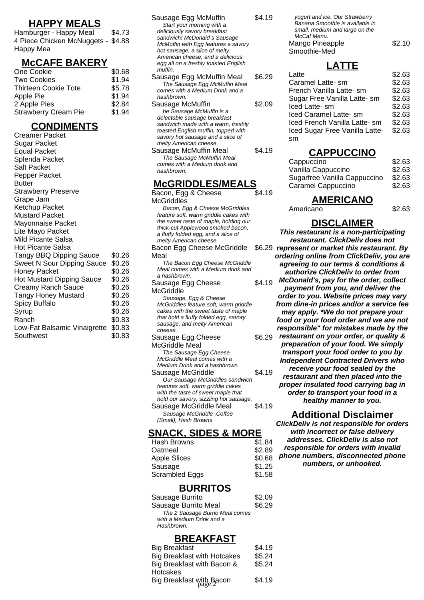#### **HAPPY MEALS**

Hamburger - Happy Meal \$4.73 4 Piece Chicken McNuggets - \$4.88 Happy Mea

#### **McCAFE BAKERY**

| One Cookie                  | \$0.68 |
|-----------------------------|--------|
| <b>Two Cookies</b>          | \$1.94 |
| <b>Thirteen Cookie Tote</b> | \$5.78 |
| Apple Pie                   | \$1.94 |
| 2 Apple Pies                | \$2.84 |
| <b>Strawberry Cream Pie</b> | \$1.94 |

#### **CONDIMENTS**

Creamer Packet Sugar Packet Equal Packet Splenda Packet Salt Packet Pepper Packet Butter Strawberry Preserve Grape Jam Ketchup Packet Mustard Packet Mayonnaise Packet Lite Mayo Packet Mild Picante Salsa Hot Picante Salsa Tangy BBQ Dipping Sauce \$0.26 Sweet N Sour Dipping Sauce \$0.26 Honey Packet \$0.26 Hot Mustard Dipping Sauce \$0.26 Creamy Ranch Sauce \$0.26 Tangy Honey Mustard \$0.26 Spicy Buffalo  $$0.26$ Syrup \$0.26 Ranch \$0.83 Low-Fat Balsamic Vinaigrette \$0.83 Southwest \$0.83

| Sausage Egg McMuffin                 | \$4.19 |
|--------------------------------------|--------|
| Start your morning with a            |        |
| deliciously savory breakfast         |        |
| sandwich! McDonald s Sausage         |        |
| McMuffin with Egg features a savory  |        |
| hot sausage, a slice of melty        |        |
| American cheese, and a delicious     |        |
| egg all on a freshly toasted English |        |
| muffin.                              |        |
| Sausage Egg McMuffin Meal            | \$6.29 |
| The Sausage Egg McMuffin Meal        |        |
| comes with a Medium Drink and a      |        |
| hashbrown.                           |        |
| Sausage McMuffin                     | \$2.09 |
| he Sausage McMuffin is a             |        |
| delectable sausage breakfast         |        |
| sandwich made with a warm, freshly   |        |
| toasted English muffin, topped with  |        |
| savory hot sausage and a slice of    |        |
| melty American cheese.               |        |
| Sausage McMuffin Meal                | \$4.19 |
| The Sausage McMuffin Meal            |        |
| comes with a Medium drink and        |        |
| hashbrown.                           |        |
|                                      |        |
| <b>McGRIDDLES/MEALS</b>              |        |
|                                      |        |

| <b>MUGULIDULEJIMEAL</b>                                              |        |
|----------------------------------------------------------------------|--------|
| Bacon, Egg & Cheese                                                  | \$4.19 |
| McGriddles                                                           |        |
| Bacon, Egg & Cheese McGriddles                                       |        |
| feature soft, warm griddle cakes with                                |        |
| the sweet taste of maple, holding our                                |        |
| thick-cut Applewood smoked bacon,                                    |        |
| a fluffy folded egg, and a slice of                                  |        |
| melty American cheese.                                               |        |
| Bacon Egg Cheese McGriddle                                           | \$6.29 |
| Meal                                                                 |        |
| The Bacon Egg Cheese McGriddle                                       |        |
| Meal comes with a Medium drink and                                   |        |
| a hashbrown.                                                         |        |
| Sausage Egg Cheese                                                   | \$4.19 |
| McGriddle                                                            |        |
| Sausage, Egg & Cheese                                                |        |
| McGriddles feature soft, warm griddle                                |        |
| cakes with the sweet taste of maple                                  |        |
| that hold a fluffy folded egg, savory                                |        |
| sausage, and melty American<br>cheese.                               |        |
| Sausage Egg Cheese                                                   | \$6.29 |
|                                                                      |        |
| McGriddle Meal                                                       |        |
| The Sausage Egg Cheese<br>McGriddle Meal comes with a                |        |
| Medium Drink and a hashbrown.                                        |        |
|                                                                      | \$4.19 |
| Sausage McGriddle                                                    |        |
| Our Sausage McGriddles sandwich<br>features soft, warm griddle cakes |        |
| with the taste of sweet maple that                                   |        |
| hold our savory, sizzling hot sausage.                               |        |
| Sausage McGriddle Meal                                               | \$4.19 |
| Sausage McGriddle, Coffee                                            |        |
| (Small), Hash Browns                                                 |        |
|                                                                      |        |

# **SNACK, SIDES & MORE**

| \$1.84 |
|--------|
| \$2.89 |
| \$0.68 |
| \$1.25 |
| \$1.58 |
|        |

#### **BURRITOS**

| Sausage Burrito                 | \$2.09 |
|---------------------------------|--------|
| Sausage Burrito Meal            | \$6.29 |
| The 2 Sausage Burrio Meal comes |        |
| with a Medium Drink and a       |        |
| Hashbrown.                      |        |
|                                 |        |

#### **BREAKFAST**

| <b>Big Breakfast</b>               | \$4.19 |
|------------------------------------|--------|
| <b>Big Breakfast with Hotcakes</b> | \$5.24 |
| Big Breakfast with Bacon &         | \$5.24 |
| <b>Hotcakes</b>                    |        |
| Big Breakfast with Bacon           | \$4.19 |
|                                    |        |

| yogurt and ice. Our Strawberry<br>Banana Smoothie is available in<br>small, medium and large on the |        |
|-----------------------------------------------------------------------------------------------------|--------|
| McCaf Menu.                                                                                         |        |
| Mango Pineapple                                                                                     | \$2.10 |
| Smoothie-Med                                                                                        |        |

# **LATTE**

| Latte                          | \$2.63 |
|--------------------------------|--------|
| Caramel Latte-sm               | \$2.63 |
| French Vanilla Latte- sm       | \$2.63 |
| Sugar Free Vanilla Latte- sm   | \$2.63 |
| Iced Latte- sm                 | \$2.63 |
| Iced Caramel Latte- sm         | \$2.63 |
| Iced French Vanilla Latte- sm  | \$2.63 |
| Iced Sugar Free Vanilla Latte- | \$2.63 |
| sm                             |        |
|                                |        |

# **CAPPUCCINO**

| Cappuccino                   | \$2.63 |
|------------------------------|--------|
| Vanilla Cappuccino           | \$2.63 |
| Sugarfree Vanilla Cappuccino | \$2.63 |
| Caramel Cappuccino           | \$2.63 |
|                              |        |

#### **AMERICANO** Americano \$2.63

**DISCLAIMER**

**This restaurant is a non-participating restaurant. ClickDeliv does not represent or market this restaurant. By ordering online from ClickDeliv, you are agreeing to our terms & conditions & authorize ClickDeliv to order from McDonald's, pay for the order, collect payment from you, and deliver the order to you. Website prices may vary from dine-in prices and/or a service fee may apply. \*We do not prepare your food or your food order and we are not responsible" for mistakes made by the restaurant on your order, or quality & preparation of your food. We simply transport your food order to you by Independent Contracted Drivers who receive your food sealed by the restaurant and then placed into the proper insulated food carrying bag in order to transport your food in a healthy manner to you.**

#### **Additional Disclaimer**

**ClickDeliv is not responsible for orders with incorrect or false delivery addresses. ClickDeliv is also not responsible for orders with invalid phone numbers, disconnected phone numbers, or unhooked.**